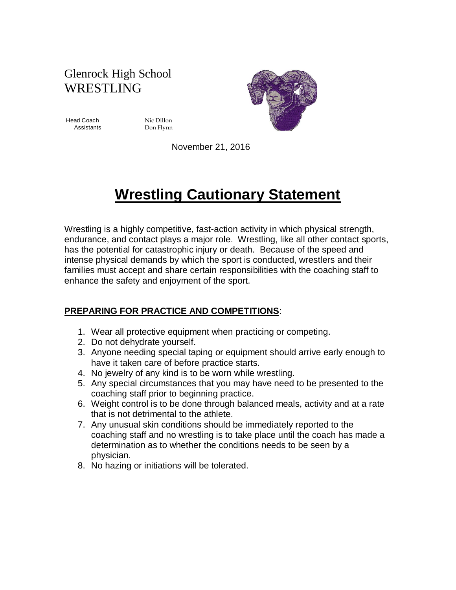# Glenrock High School WRESTLING

Head Coach Nic Dillon

Assistants Don Flynn



November 21, 2016

# **Wrestling Cautionary Statement**

Wrestling is a highly competitive, fast-action activity in which physical strength, endurance, and contact plays a major role. Wrestling, like all other contact sports, has the potential for catastrophic injury or death. Because of the speed and intense physical demands by which the sport is conducted, wrestlers and their families must accept and share certain responsibilities with the coaching staff to enhance the safety and enjoyment of the sport.

### **PREPARING FOR PRACTICE AND COMPETITIONS**:

- 1. Wear all protective equipment when practicing or competing.
- 2. Do not dehydrate yourself.
- 3. Anyone needing special taping or equipment should arrive early enough to have it taken care of before practice starts.
- 4. No jewelry of any kind is to be worn while wrestling.
- 5. Any special circumstances that you may have need to be presented to the coaching staff prior to beginning practice.
- 6. Weight control is to be done through balanced meals, activity and at a rate that is not detrimental to the athlete.
- 7. Any unusual skin conditions should be immediately reported to the coaching staff and no wrestling is to take place until the coach has made a determination as to whether the conditions needs to be seen by a physician.
- 8. No hazing or initiations will be tolerated.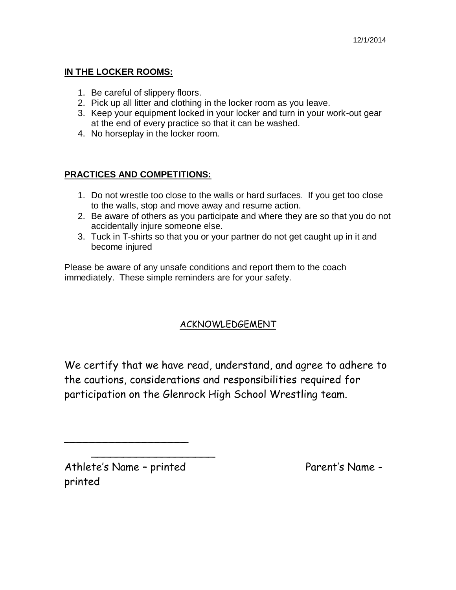#### **IN THE LOCKER ROOMS:**

- 1. Be careful of slippery floors.
- 2. Pick up all litter and clothing in the locker room as you leave.
- 3. Keep your equipment locked in your locker and turn in your work-out gear at the end of every practice so that it can be washed.
- 4. No horseplay in the locker room.

#### **PRACTICES AND COMPETITIONS:**

- 1. Do not wrestle too close to the walls or hard surfaces. If you get too close to the walls, stop and move away and resume action.
- 2. Be aware of others as you participate and where they are so that you do not accidentally injure someone else.
- 3. Tuck in T-shirts so that you or your partner do not get caught up in it and become injured

Please be aware of any unsafe conditions and report them to the coach immediately. These simple reminders are for your safety.

## ACKNOWLEDGEMENT

We certify that we have read, understand, and agree to adhere to the cautions, considerations and responsibilities required for participation on the Glenrock High School Wrestling team.

Athlete's Name - printed Parent's Name printed

\_\_\_\_\_\_\_\_\_\_\_\_\_\_\_\_\_\_\_

\_\_\_\_\_\_\_\_\_\_\_\_\_\_\_\_\_\_\_